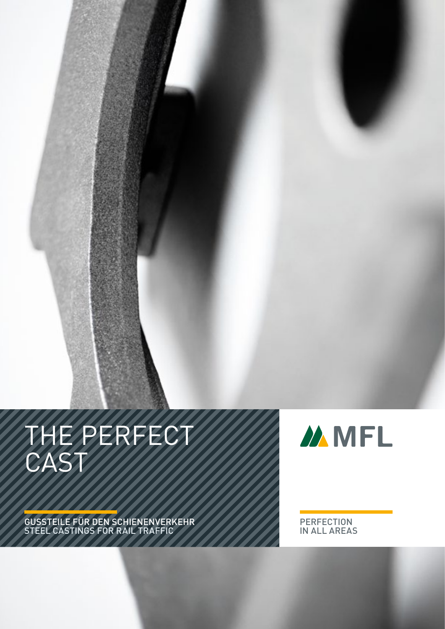## The Perfect CAS

GUSSTEILE FÜR DEN SCHIENENVERKEHR STEEL CASTINGS FOR RAIL T



**PERFECTION** in all areas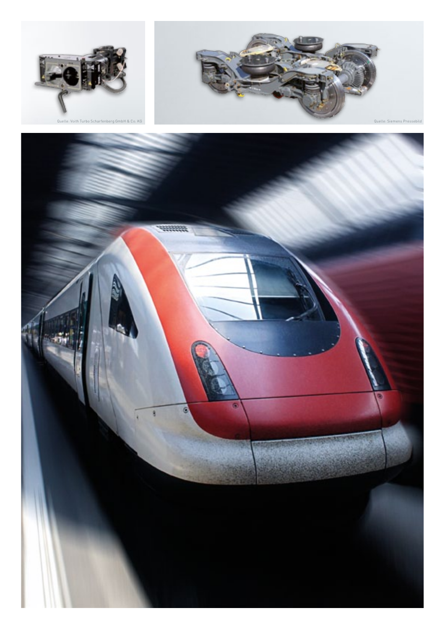



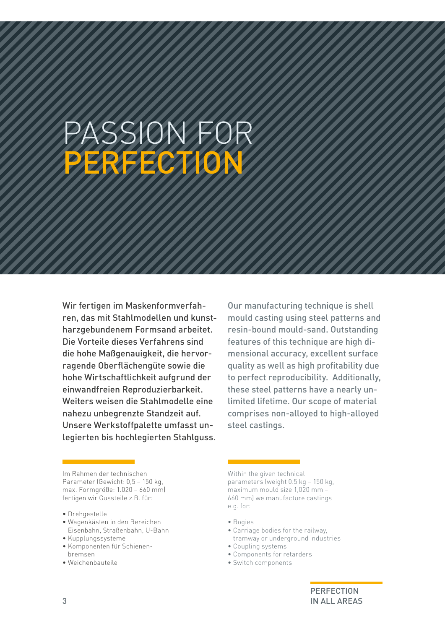## Passion for Perfection

Wir fertigen im Maskenformverfahren, das mit Stahlmodellen und kunstharzgebundenem Formsand arbeitet. Die Vorteile dieses Verfahrens sind die hohe Maßgenauigkeit, die hervorragende Oberflächengüte sowie die hohe Wirtschaftlichkeit aufgrund der einwandfreien Reproduzierbarkeit. Weiters weisen die Stahlmodelle eine nahezu unbegrenzte Standzeit auf. Unsere Werkstoffpalette umfasst unlegierten bis hochlegierten Stahlguss.

Our manufacturing technique is shell mould casting using steel patterns and resin-bound mould-sand. Outstanding features of this technique are high dimensional accuracy, excellent surface quality as well as high profitability due to perfect reproducibility. Additionally, these steel patterns have a nearly unlimited lifetime. Our scope of material comprises non-alloyed to high-alloyed steel castings.

Im Rahmen der technischen Parameter (Gewicht: 0,5 – 150 kg, max. Formgröße: 1.020 – 660 mm) fertigen wir Gussteile z.B. für:

- Drehgestelle
- Wagenkästen in den Bereichen Eisenbahn, Straßenbahn, U-Bahn
- Kupplungssysteme
- Komponenten für Schienen-
- bremsen
- Weichenbauteile

Within the given technical parameters (weight 0.5 kg – 150 kg, maximum mould size 1,020 mm – 660 mm) we manufacture castings e.g. for:

- Bogies
- Carriage bodies for the railway, tramway or underground industries
- Coupling systems
- Components for retarders
- Switch components

**PERFECTION** in all areas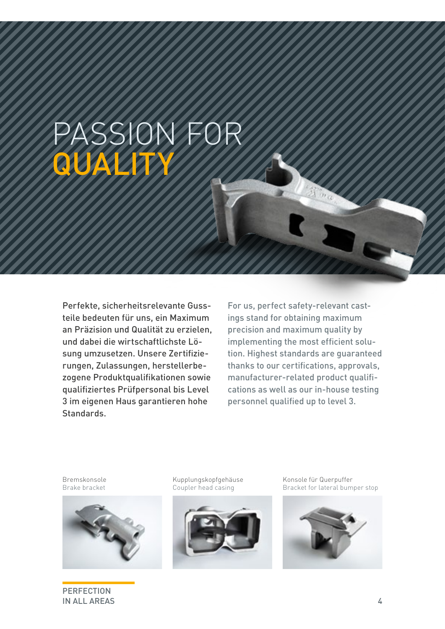## ASSION FOR **QUAL**

Perfekte, sicherheitsrelevante Gussteile bedeuten für uns, ein Maximum an Präzision und Qualität zu erzielen, und dabei die wirtschaftlichste Lösung umzusetzen. Unsere Zertifizierungen, Zulassungen, herstellerbezogene Produktqualifikationen sowie qualifiziertes Prüfpersonal bis Level 3 im eigenen Haus garantieren hohe Standards.

For us, perfect safety-relevant castings stand for obtaining maximum precision and maximum quality by implementing the most efficient solution. Highest standards are guaranteed thanks to our certifications, approvals, manufacturer-related product qualifications as well as our in-house testing personnel qualified up to level 3.

Bremskonsole Brake bracket



**PERFECTION** in all areas Kupplungskopfgehäuse Coupler head casing



Konsole für Querpuffer Bracket for lateral bumper stop

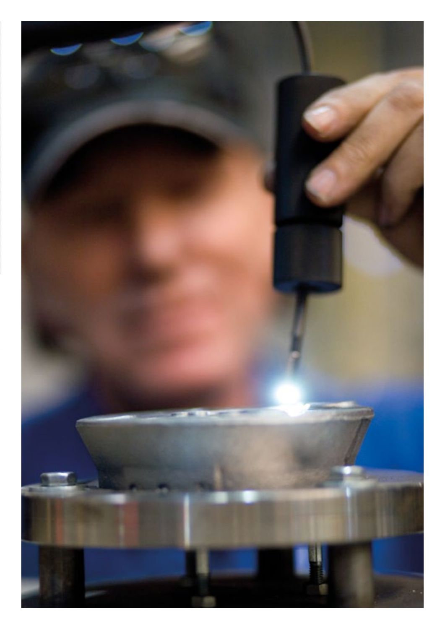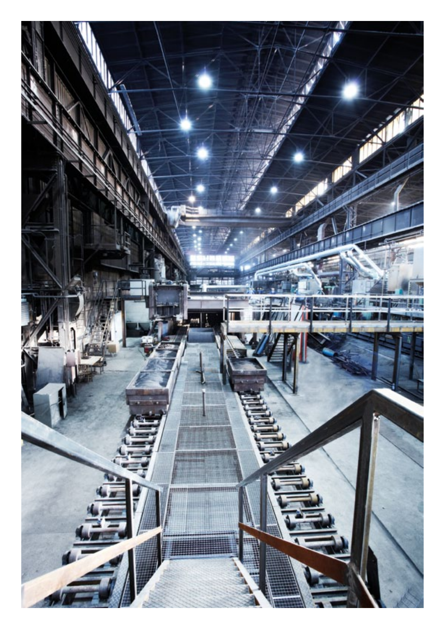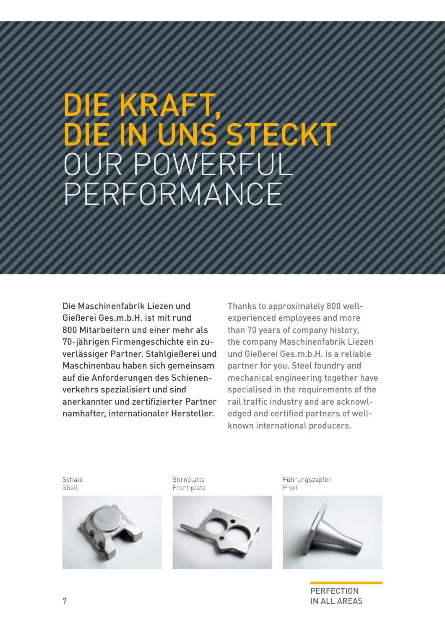## DIE KRAFT, DIE IN UNS STECKT Our powerful performance

Die Maschinenfabrik Liezen und Gießerei Ges.m.b.H. ist mit rund 800 Mitarbeitern und einer mehr als 70-jährigen Firmengeschichte ein zuverlässiger Partner. Stahlgießerei und Maschinenbau haben sich gemeinsam auf die Anforderungen des Schienenverkehrs spezialisiert und sind anerkannter und zertifizierter Partner namhafter, internationaler Hersteller.

Thanks to approximately 800 wellexperienced employees and more than 70 years of company history, the company Maschinenfabrik Liezen und Gießerei Ges.m.b.H. is a reliable partner for you. Steel foundry and mechanical engineering together have specialised in the requirements of the rail traffic industry and are acknowledged and certified partners of wellknown international producers.

Schale Shell



**Stirnplatte** Front plate



Führungszapfen Pivot



**PERFECTION** in all areas